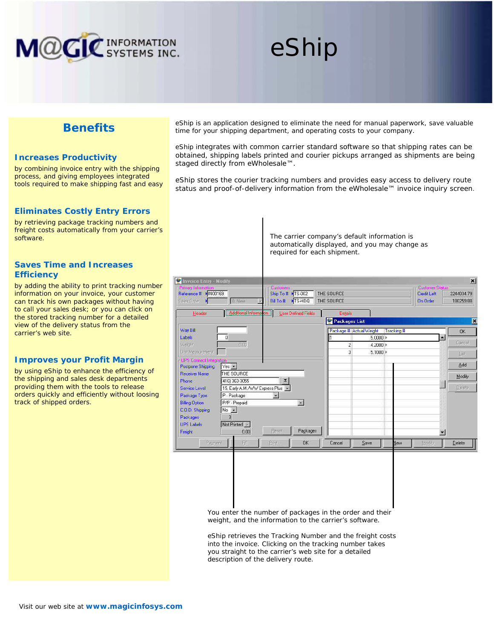

# eShip

# **Benefits**

### **Increases Productivity**

by combining invoice entry with the shipping process, and giving employees integrated tools required to make shipping fast and easy

## **Eliminates Costly Entry Errors**

by retrieving package tracking numbers and freight costs automatically from your carrier's software.

## **Saves Time and Increases Efficiency**

by adding the ability to print tracking number information on your invoice, your customer can track his own packages without having to call your sales desk; or you can click on the stored tracking number for a detailed view of the delivery status from the carrier's web site.

## **Improves your Profit Margin**

by using eShip to enhance the efficiency of the shipping and sales desk departments providing them with the tools to release orders quickly and efficiently without loosing track of shipped orders.

eShip is an application designed to eliminate the need for manual paperwork, save valuable time for your shipping department, and operating costs to your company.

eShip integrates with common carrier standard software so that shipping rates can be obtained, shipping labels printed and courier pickups arranged as shipments are being staged directly from eWholesale™.

eShip stores the courier tracking numbers and provides easy access to delivery route status and proof-of-delivery information from the eWholesale™ invoice inquiry screen.

> The carrier company's default information is automatically displayed, and you may change as required for each shipment.

| Additional Informa<br><b>User Defined Fields</b><br>Details<br>Header<br>Packages List<br>Way Bill<br>Package # Actual Weight<br>Tracking #<br>0<br>Labels<br>$5.0000$ $*$<br>×<br>0.00<br>Weight.<br>$\overline{c}$<br>$4.2000$ $\triangleright$<br>3<br>Unit Measurement<br>5.1000<br>- UPS Connect Integration<br>$Yes -$<br>Postpone Shipping<br>THE SOURCE<br><b>Receiver Name</b><br>$\boldsymbol{\Sigma}$<br>(416) 363-3055<br>Phone:<br>15. Early A.M./WW Express Plus ~<br>Service Level<br>P - Package<br>Package Type<br>隣<br>P/P - Prepaid<br><b>Billing Option</b><br>$\vert x \vert$<br>No -<br>C.O.D. Shipping<br>$\overline{3}$<br>Packages. | <b>C</b> Invoice Entry - Modify<br>- Primary Information -<br>Reference # MN00169<br>Sales Order | 10 New      | <b>Customers</b><br>Ship To # >TS-002<br>Bill To # MTS-HDQ | THE SOURCE<br>THE SOURCE | - Customer Status-<br>Credit Left<br>On Order | $\vert x \vert$<br>2244034.79<br>180259.88 |
|--------------------------------------------------------------------------------------------------------------------------------------------------------------------------------------------------------------------------------------------------------------------------------------------------------------------------------------------------------------------------------------------------------------------------------------------------------------------------------------------------------------------------------------------------------------------------------------------------------------------------------------------------------------|--------------------------------------------------------------------------------------------------|-------------|------------------------------------------------------------|--------------------------|-----------------------------------------------|--------------------------------------------|
|                                                                                                                                                                                                                                                                                                                                                                                                                                                                                                                                                                                                                                                              |                                                                                                  |             |                                                            |                          |                                               | E                                          |
|                                                                                                                                                                                                                                                                                                                                                                                                                                                                                                                                                                                                                                                              |                                                                                                  |             |                                                            |                          |                                               | QK                                         |
|                                                                                                                                                                                                                                                                                                                                                                                                                                                                                                                                                                                                                                                              |                                                                                                  |             |                                                            |                          |                                               | Cancel<br>Last                             |
|                                                                                                                                                                                                                                                                                                                                                                                                                                                                                                                                                                                                                                                              |                                                                                                  |             |                                                            |                          |                                               | Add                                        |
|                                                                                                                                                                                                                                                                                                                                                                                                                                                                                                                                                                                                                                                              |                                                                                                  |             |                                                            |                          |                                               | Modify<br>Delete:                          |
|                                                                                                                                                                                                                                                                                                                                                                                                                                                                                                                                                                                                                                                              |                                                                                                  |             |                                                            |                          |                                               |                                            |
|                                                                                                                                                                                                                                                                                                                                                                                                                                                                                                                                                                                                                                                              | <b>LIPS Labels</b>                                                                               | Not Printed |                                                            |                          |                                               |                                            |
| Packages<br>Fleset<br>Freight<br>0.00<br>憲<br>OK.<br>Payment<br>Fill<br>Print<br>Cancel<br>Save<br>Modify<br><b>Vew</b>                                                                                                                                                                                                                                                                                                                                                                                                                                                                                                                                      |                                                                                                  |             |                                                            |                          |                                               | Delete                                     |

You enter the number of packages in the order and their weight, and the information to the carrier's software.

eShip retrieves the Tracking Number and the freight costs into the invoice. Clicking on the tracking number takes you straight to the carrier's web site for a detailed description of the delivery route.